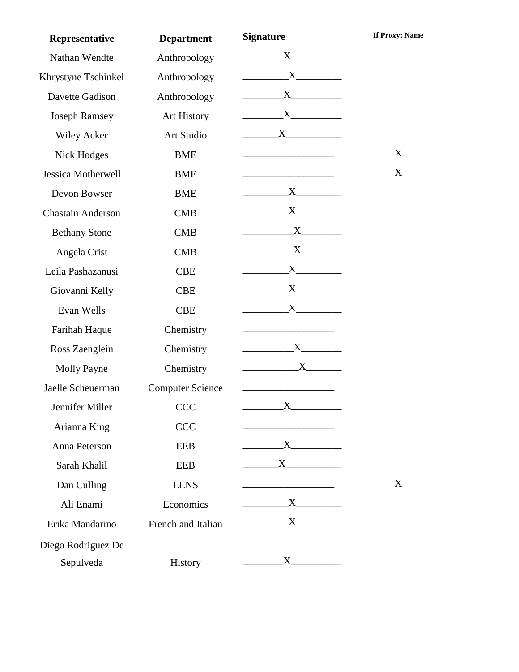| Representative           | <b>Department</b>       | <b>Signature</b>                        | <b>If Proxy: Name</b> |
|--------------------------|-------------------------|-----------------------------------------|-----------------------|
| Nathan Wendte            | Anthropology            | $X$ and $X$                             |                       |
| Khrystyne Tschinkel      | Anthropology            |                                         |                       |
| Davette Gadison          | Anthropology            | X                                       |                       |
| <b>Joseph Ramsey</b>     | Art History             | $X$ and $X$                             |                       |
| <b>Wiley Acker</b>       | Art Studio              | $\mathbf{X}$                            |                       |
| <b>Nick Hodges</b>       | <b>BME</b>              |                                         | X                     |
| Jessica Motherwell       | <b>BME</b>              |                                         | X                     |
| Devon Bowser             | <b>BME</b>              | $X$ and $X$                             |                       |
| <b>Chastain Anderson</b> | <b>CMB</b>              |                                         |                       |
| <b>Bethany Stone</b>     | <b>CMB</b>              | $X$ <sub>1</sub>                        |                       |
| Angela Crist             | <b>CMB</b>              | $\boldsymbol{\mathrm{X}}$               |                       |
| Leila Pashazanusi        | <b>CBE</b>              | $X$ and $X$                             |                       |
| Giovanni Kelly           | <b>CBE</b>              | $X$ and $X$                             |                       |
| Evan Wells               | <b>CBE</b>              | $X$ and $X$                             |                       |
| Farihah Haque            | Chemistry               |                                         |                       |
| Ross Zaenglein           | Chemistry               | $X$ <sub>1</sub>                        |                       |
| <b>Molly Payne</b>       | Chemistry               |                                         |                       |
| Jaelle Scheuerman        | <b>Computer Science</b> |                                         |                       |
| Jennifer Miller          | <b>CCC</b>              | $\boldsymbol{\mathrm{X}}$               |                       |
| Arianna King             | <b>CCC</b>              | <u> 1989 - Johann Barbara, martin a</u> |                       |
| Anna Peterson            | <b>EEB</b>              | $\overline{\mathbf{X}}$                 |                       |
| Sarah Khalil             | <b>EEB</b>              | $\overline{\text{X}}$                   |                       |
| Dan Culling              | <b>EENS</b>             |                                         | X                     |
| Ali Enami                | Economics               | $\mathbf{X}$                            |                       |
| Erika Mandarino          | French and Italian      |                                         |                       |
| Diego Rodriguez De       |                         |                                         |                       |
| Sepulveda                | History                 | $\boldsymbol{X}$ and $\boldsymbol{X}$   |                       |